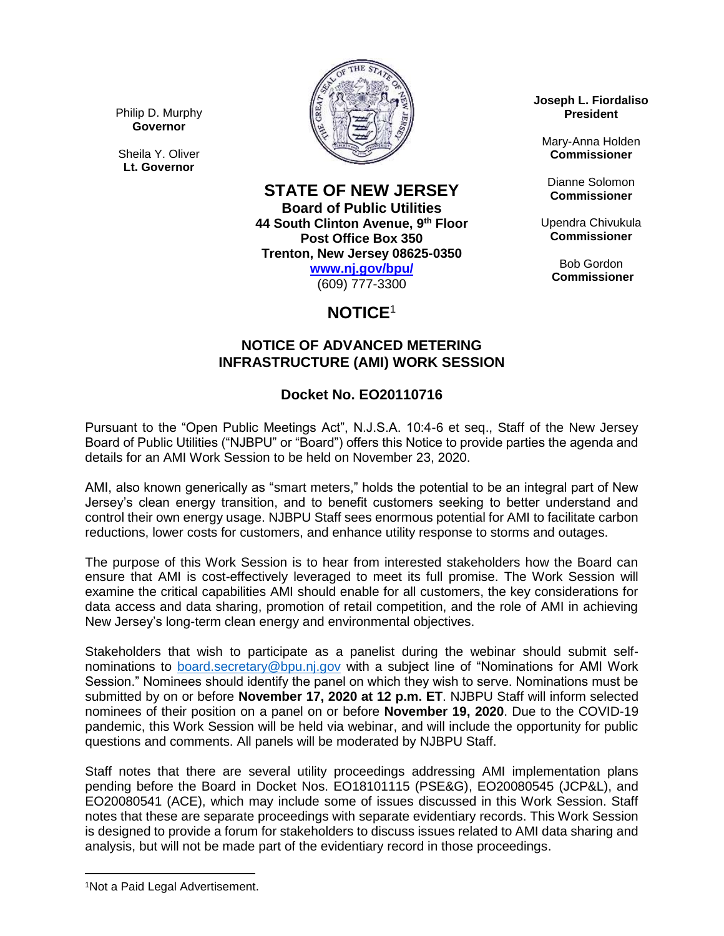Philip D. Murphy **Governor**

Sheila Y. Oliver **Lt. Governor**



**STATE OF NEW JERSEY**

**Board of Public Utilities 44 South Clinton Avenue, 9th Floor Post Office Box 350 Trenton, New Jersey 08625-0350**

**[www.nj.gov/bpu/](http://www.nj.gov/bpu/)**

(609) 777-3300

# **NOTICE**<sup>1</sup>

### **NOTICE OF ADVANCED METERING INFRASTRUCTURE (AMI) WORK SESSION**

## **Docket No. EO20110716**

Pursuant to the "Open Public Meetings Act", N.J.S.A. 10:4-6 et seq., Staff of the New Jersey Board of Public Utilities ("NJBPU" or "Board") offers this Notice to provide parties the agenda and details for an AMI Work Session to be held on November 23, 2020.

AMI, also known generically as "smart meters," holds the potential to be an integral part of New Jersey's clean energy transition, and to benefit customers seeking to better understand and control their own energy usage. NJBPU Staff sees enormous potential for AMI to facilitate carbon reductions, lower costs for customers, and enhance utility response to storms and outages.

The purpose of this Work Session is to hear from interested stakeholders how the Board can ensure that AMI is cost-effectively leveraged to meet its full promise. The Work Session will examine the critical capabilities AMI should enable for all customers, the key considerations for data access and data sharing, promotion of retail competition, and the role of AMI in achieving New Jersey's long-term clean energy and environmental objectives.

Stakeholders that wish to participate as a panelist during the webinar should submit selfnominations to [board.secretary@bpu.nj.gov](mailto:board.secretary@bpu.nj.gov) with a subject line of "Nominations for AMI Work Session." Nominees should identify the panel on which they wish to serve. Nominations must be submitted by on or before **November 17, 2020 at 12 p.m. ET**. NJBPU Staff will inform selected nominees of their position on a panel on or before **November 19, 2020**. Due to the COVID-19 pandemic, this Work Session will be held via webinar, and will include the opportunity for public questions and comments. All panels will be moderated by NJBPU Staff.

Staff notes that there are several utility proceedings addressing AMI implementation plans pending before the Board in Docket Nos. EO18101115 (PSE&G), EO20080545 (JCP&L), and EO20080541 (ACE), which may include some of issues discussed in this Work Session. Staff notes that these are separate proceedings with separate evidentiary records. This Work Session is designed to provide a forum for stakeholders to discuss issues related to AMI data sharing and analysis, but will not be made part of the evidentiary record in those proceedings.

**Joseph L. Fiordaliso President**

Mary-Anna Holden **Commissioner**

Dianne Solomon **Commissioner**

Upendra Chivukula **Commissioner**

> Bob Gordon **Commissioner**

 $\overline{\phantom{a}}$ 

<sup>1</sup>Not a Paid Legal Advertisement.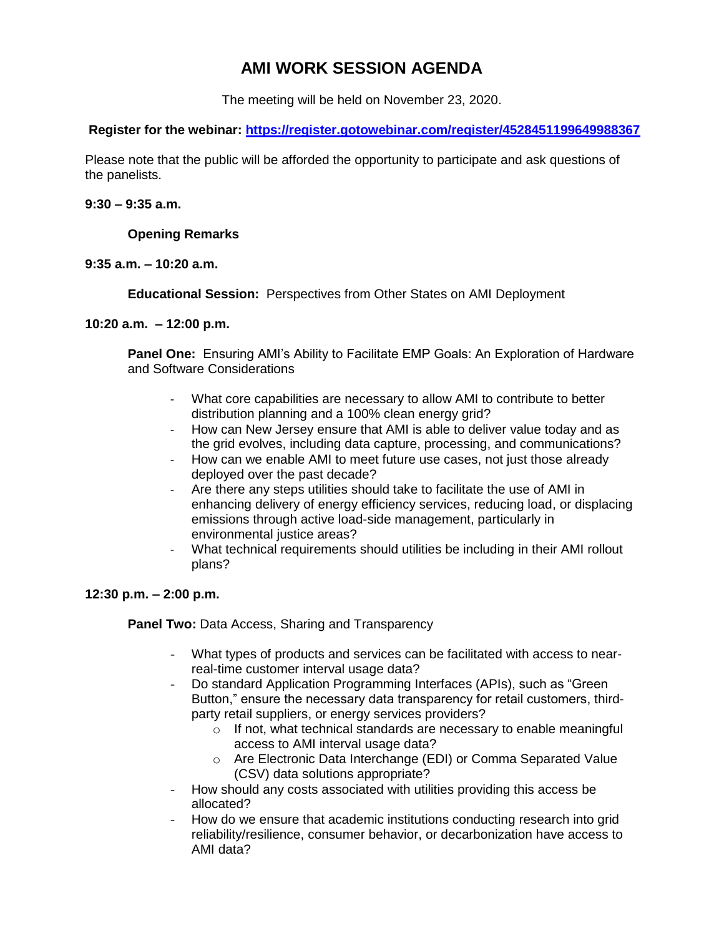## **AMI WORK SESSION AGENDA**

The meeting will be held on November 23, 2020.

**Register for the webinar: <https://register.gotowebinar.com/register/4528451199649988367>**

Please note that the public will be afforded the opportunity to participate and ask questions of the panelists.

#### **9:30 – 9:35 a.m.**

#### **Opening Remarks**

#### **9:35 a.m. – 10:20 a.m.**

**Educational Session:** Perspectives from Other States on AMI Deployment

#### **10:20 a.m. – 12:00 p.m.**

**Panel One:** Ensuring AMI's Ability to Facilitate EMP Goals: An Exploration of Hardware and Software Considerations

- What core capabilities are necessary to allow AMI to contribute to better distribution planning and a 100% clean energy grid?
- How can New Jersey ensure that AMI is able to deliver value today and as the grid evolves, including data capture, processing, and communications?
- How can we enable AMI to meet future use cases, not just those already deployed over the past decade?
- Are there any steps utilities should take to facilitate the use of AMI in enhancing delivery of energy efficiency services, reducing load, or displacing emissions through active load-side management, particularly in environmental justice areas?
- What technical requirements should utilities be including in their AMI rollout plans?

### **12:30 p.m. – 2:00 p.m.**

**Panel Two:** Data Access, Sharing and Transparency

- What types of products and services can be facilitated with access to nearreal-time customer interval usage data?
- Do standard Application Programming Interfaces (APIs), such as "Green Button," ensure the necessary data transparency for retail customers, thirdparty retail suppliers, or energy services providers?
	- $\circ$  If not, what technical standards are necessary to enable meaningful access to AMI interval usage data?
	- o Are Electronic Data Interchange (EDI) or Comma Separated Value (CSV) data solutions appropriate?
- How should any costs associated with utilities providing this access be allocated?
- How do we ensure that academic institutions conducting research into grid reliability/resilience, consumer behavior, or decarbonization have access to AMI data?